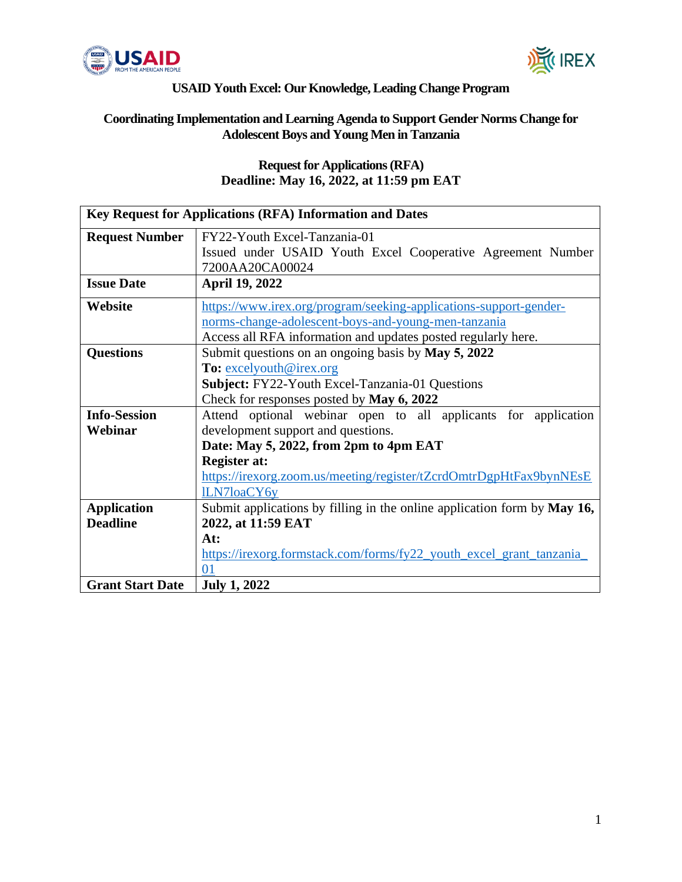



# **USAID Youth Excel: Our Knowledge, Leading Change Program**

# **Coordinating Implementation and Learning Agenda to Support Gender Norms Change for Adolescent Boys and Young Men in Tanzania**

| <b>Key Request for Applications (RFA) Information and Dates</b> |                                                                          |  |  |
|-----------------------------------------------------------------|--------------------------------------------------------------------------|--|--|
| <b>Request Number</b>                                           | FY22-Youth Excel-Tanzania-01                                             |  |  |
|                                                                 | Issued under USAID Youth Excel Cooperative Agreement Number              |  |  |
|                                                                 | 7200AA20CA00024                                                          |  |  |
| <b>Issue Date</b>                                               | <b>April 19, 2022</b>                                                    |  |  |
| Website                                                         | https://www.irex.org/program/seeking-applications-support-gender-        |  |  |
|                                                                 | norms-change-adolescent-boys-and-young-men-tanzania                      |  |  |
|                                                                 | Access all RFA information and updates posted regularly here.            |  |  |
| <b>Questions</b>                                                | Submit questions on an ongoing basis by May 5, 2022                      |  |  |
|                                                                 | To: excelyouth@irex.org                                                  |  |  |
|                                                                 | <b>Subject:</b> FY22-Youth Excel-Tanzania-01 Questions                   |  |  |
|                                                                 | Check for responses posted by May 6, 2022                                |  |  |
| <b>Info-Session</b>                                             | Attend optional webinar open to all applicants for application           |  |  |
| Webinar                                                         | development support and questions.                                       |  |  |
|                                                                 | Date: May 5, 2022, from 2pm to 4pm EAT                                   |  |  |
|                                                                 | <b>Register at:</b>                                                      |  |  |
|                                                                 | https://irexorg.zoom.us/meeting/register/tZcrdOmtrDgpHtFax9bynNEsE       |  |  |
|                                                                 | lLN7loaCY6y                                                              |  |  |
| <b>Application</b>                                              | Submit applications by filling in the online application form by May 16, |  |  |
| <b>Deadline</b>                                                 | 2022, at 11:59 EAT                                                       |  |  |
|                                                                 | At:                                                                      |  |  |
|                                                                 | https://irexorg.formstack.com/forms/fy22_youth_excel_grant_tanzania_     |  |  |
|                                                                 | 01                                                                       |  |  |
| <b>Grant Start Date</b>                                         | <b>July 1, 2022</b>                                                      |  |  |

# **Request for Applications (RFA) Deadline: May 16, 2022, at 11:59 pm EAT**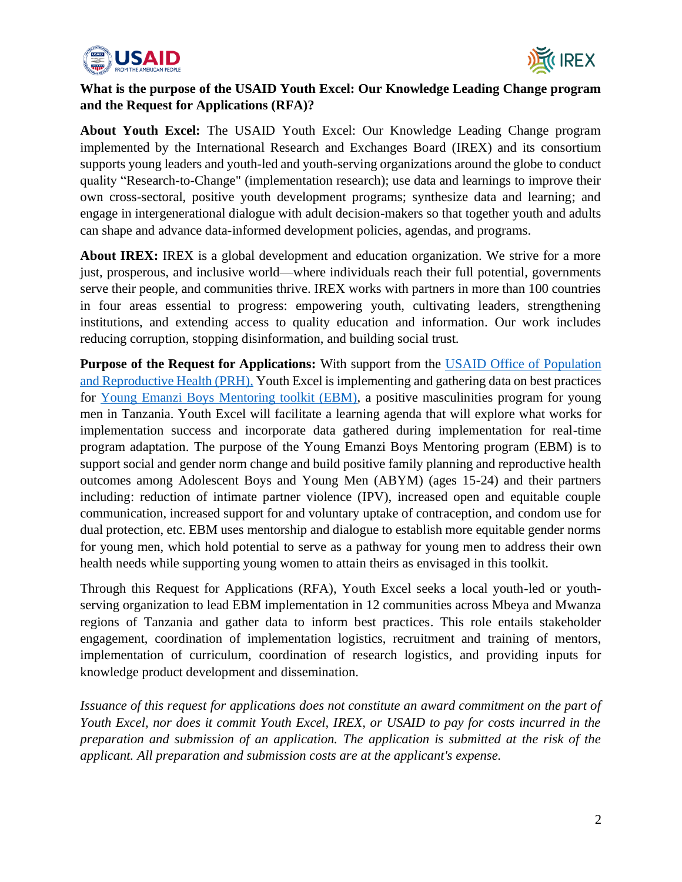



# **What is the purpose of the USAID Youth Excel: Our Knowledge Leading Change program and the Request for Applications (RFA)?**

**About Youth Excel:** The USAID Youth Excel: Our Knowledge Leading Change program implemented by the International Research and Exchanges Board (IREX) and its consortium supports young leaders and youth-led and youth-serving organizations around the globe to conduct quality "Research-to-Change" (implementation research); use data and learnings to improve their own cross-sectoral, positive youth development programs; synthesize data and learning; and engage in intergenerational dialogue with adult decision-makers so that together youth and adults can shape and advance data-informed development policies, agendas, and programs.

**About IREX:** IREX is a global development and education organization. We strive for a more just, prosperous, and inclusive world—where individuals reach their full potential, governments serve their people, and communities thrive. IREX works with partners in more than 100 countries in four areas essential to progress: empowering youth, cultivating leaders, strengthening institutions, and extending access to quality education and information. Our work includes reducing corruption, stopping disinformation, and building social trust.

**Purpose of the Request for Applications:** With support from the [USAID Office of Population](https://www.usaid.gov/global-health/health-areas/reproductive-health)  [and Reproductive Health \(PRH\),](https://www.usaid.gov/global-health/health-areas/reproductive-health) Youth Excel is implementing and gathering data on best practices for [Young Emanzi Boys Mentoring toolkit \(EBM\),](https://www.youthpower.org/resources/young-emanzi-toolkit-mentoring-adolescent-boys-and-young-men) a positive masculinities program for young men in Tanzania. Youth Excel will facilitate a learning agenda that will explore what works for implementation success and incorporate data gathered during implementation for real-time program adaptation. The purpose of the Young Emanzi Boys Mentoring program (EBM) is to support social and gender norm change and build positive family planning and reproductive health outcomes among Adolescent Boys and Young Men (ABYM) (ages 15-24) and their partners including: reduction of intimate partner violence (IPV), increased open and equitable couple communication, increased support for and voluntary uptake of contraception, and condom use for dual protection, etc. EBM uses mentorship and dialogue to establish more equitable gender norms for young men, which hold potential to serve as a pathway for young men to address their own health needs while supporting young women to attain theirs as envisaged in this toolkit.

Through this Request for Applications (RFA), Youth Excel seeks a local youth-led or youthserving organization to lead EBM implementation in 12 communities across Mbeya and Mwanza regions of Tanzania and gather data to inform best practices. This role entails stakeholder engagement, coordination of implementation logistics, recruitment and training of mentors, implementation of curriculum, coordination of research logistics, and providing inputs for knowledge product development and dissemination.

*Issuance of this request for applications does not constitute an award commitment on the part of Youth Excel, nor does it commit Youth Excel, IREX, or USAID to pay for costs incurred in the preparation and submission of an application. The application is submitted at the risk of the applicant. All preparation and submission costs are at the applicant's expense.*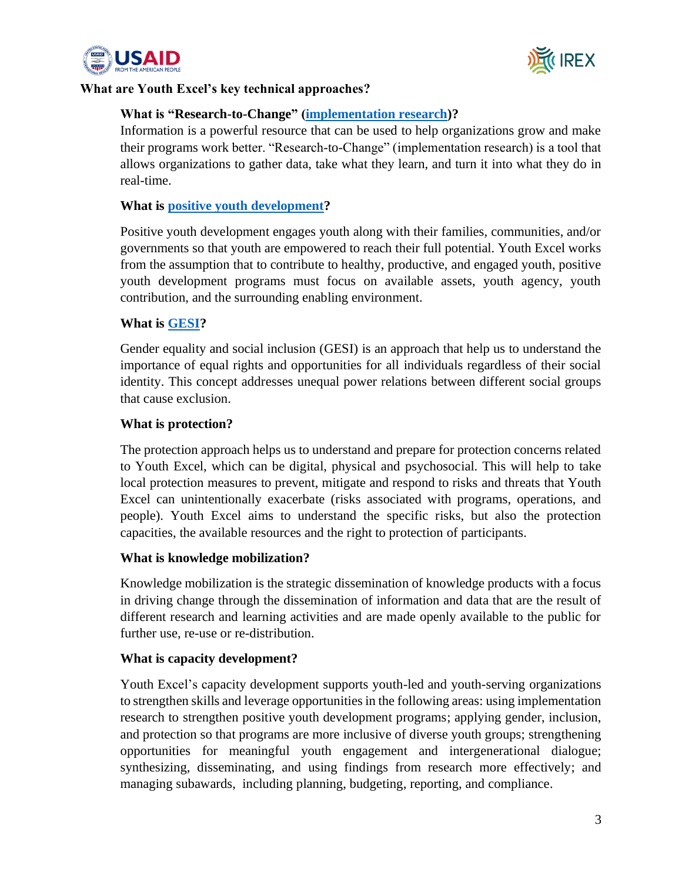



## **What are Youth Excel's key technical approaches?**

## **What is "Research-to-Change" [\(implementation research\)](https://www.irex.org/sites/default/files/IR%20At%20A%20Glance%20Youth%20Excel%20April%202022.pdf)?**

Information is a powerful resource that can be used to help organizations grow and make their programs work better. "Research-to-Change" (implementation research) is a tool that allows organizations to gather data, take what they learn, and turn it into what they do in real-time.

## **What is [positive youth development?](https://www.youthpower.org/positive-youth-development-pyd-framework)**

Positive youth development engages youth along with their families, communities, and/or governments so that youth are empowered to reach their full potential. Youth Excel works from the assumption that to contribute to healthy, productive, and engaged youth, positive youth development programs must focus on available assets, youth agency, youth contribution, and the surrounding enabling environment.

## **What is [GESI?](https://www.irex.org/news/youth-excel-releases-global-gender-and-inclusion-analysis)**

Gender equality and social inclusion (GESI) is an approach that help us to understand the importance of equal rights and opportunities for all individuals regardless of their social identity. This concept addresses unequal power relations between different social groups that cause exclusion.

## **What is protection?**

The protection approach helps us to understand and prepare for protection concerns related to Youth Excel, which can be digital, physical and psychosocial. This will help to take local protection measures to prevent, mitigate and respond to risks and threats that Youth Excel can unintentionally exacerbate (risks associated with programs, operations, and people). Youth Excel aims to understand the specific risks, but also the protection capacities, the available resources and the right to protection of participants.

## **What is knowledge mobilization?**

Knowledge mobilization is the strategic dissemination of knowledge products with a focus in driving change through the dissemination of information and data that are the result of different research and learning activities and are made openly available to the public for further use, re-use or re-distribution.

## **What is capacity development?**

Youth Excel's capacity development supports youth-led and youth-serving organizations to strengthen skills and leverage opportunities in the following areas: using implementation research to strengthen positive youth development programs; applying gender, inclusion, and protection so that programs are more inclusive of diverse youth groups; strengthening opportunities for meaningful youth engagement and intergenerational dialogue; synthesizing, disseminating, and using findings from research more effectively; and managing subawards, including planning, budgeting, reporting, and compliance.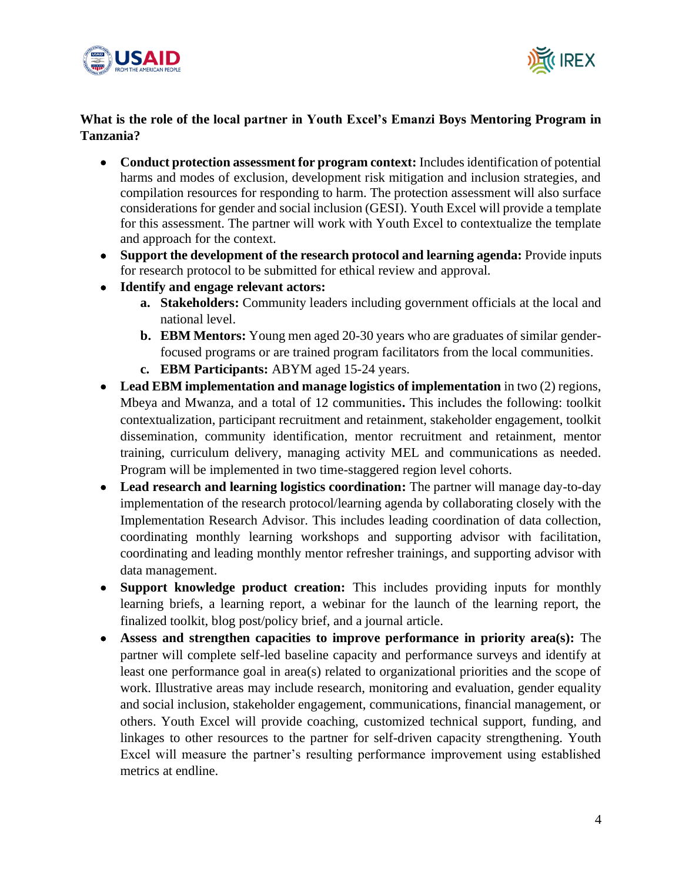



# **What is the role of the local partner in Youth Excel's Emanzi Boys Mentoring Program in Tanzania?**

- **Conduct protection assessment for program context:** Includes identification of potential harms and modes of exclusion, development risk mitigation and inclusion strategies, and compilation resources for responding to harm. The protection assessment will also surface considerations for gender and social inclusion (GESI). Youth Excel will provide a template for this assessment. The partner will work with Youth Excel to contextualize the template and approach for the context.
- **Support the development of the research protocol and learning agenda:** Provide inputs for research protocol to be submitted for ethical review and approval.
- **Identify and engage relevant actors:**
	- **a. Stakeholders:** Community leaders including government officials at the local and national level.
	- **b. EBM Mentors:** Young men aged 20-30 years who are graduates of similar genderfocused programs or are trained program facilitators from the local communities.
	- **c. EBM Participants:** ABYM aged 15-24 years.
- Lead EBM implementation and manage logistics of implementation in two (2) regions, Mbeya and Mwanza, and a total of 12 communities**.** This includes the following: toolkit contextualization, participant recruitment and retainment, stakeholder engagement, toolkit dissemination, community identification, mentor recruitment and retainment, mentor training, curriculum delivery, managing activity MEL and communications as needed. Program will be implemented in two time-staggered region level cohorts.
- **Lead research and learning logistics coordination:** The partner will manage day-to-day implementation of the research protocol/learning agenda by collaborating closely with the Implementation Research Advisor. This includes leading coordination of data collection, coordinating monthly learning workshops and supporting advisor with facilitation, coordinating and leading monthly mentor refresher trainings, and supporting advisor with data management.
- **Support knowledge product creation:** This includes providing inputs for monthly learning briefs, a learning report, a webinar for the launch of the learning report, the finalized toolkit, blog post/policy brief, and a journal article.
- **Assess and strengthen capacities to improve performance in priority area(s):** The partner will complete self-led baseline capacity and performance surveys and identify at least one performance goal in area(s) related to organizational priorities and the scope of work. Illustrative areas may include research, monitoring and evaluation, gender equality and social inclusion, stakeholder engagement, communications, financial management, or others. Youth Excel will provide coaching, customized technical support, funding, and linkages to other resources to the partner for self-driven capacity strengthening. Youth Excel will measure the partner's resulting performance improvement using established metrics at endline.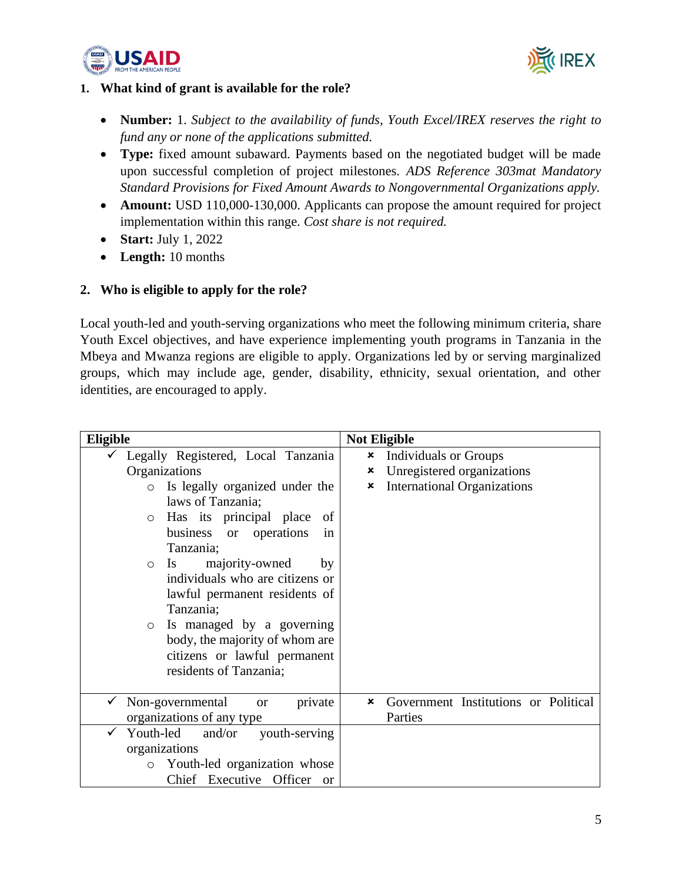



# **1. What kind of grant is available for the role?**

- **Number:** 1. *Subject to the availability of funds, Youth Excel/IREX reserves the right to fund any or none of the applications submitted.*
- **Type:** fixed amount subaward. Payments based on the negotiated budget will be made upon successful completion of project milestones. *ADS Reference 303mat Mandatory Standard Provisions for Fixed Amount Awards to Nongovernmental Organizations apply.*
- **Amount:** USD 110,000-130,000. Applicants can propose the amount required for project implementation within this range. *Cost share is not required.*
- **Start:** July 1, 2022
- **Length:** 10 months

# **2. Who is eligible to apply for the role?**

Local youth-led and youth-serving organizations who meet the following minimum criteria, share Youth Excel objectives, and have experience implementing youth programs in Tanzania in the Mbeya and Mwanza regions are eligible to apply. Organizations led by or serving marginalized groups, which may include age, gender, disability, ethnicity, sexual orientation, and other identities, are encouraged to apply.

| <b>Eligible</b>                              | <b>Not Eligible</b>                       |
|----------------------------------------------|-------------------------------------------|
| Legally Registered, Local Tanzania           | <b>Individuals or Groups</b><br>×         |
| Organizations                                | Unregistered organizations<br>×           |
| Is legally organized under the<br>$\circ$    | <b>International Organizations</b><br>×   |
| laws of Tanzania;                            |                                           |
| Has its principal place<br>of<br>$\circ$     |                                           |
| or operations<br>business<br>in              |                                           |
| Tanzania;                                    |                                           |
| majority-owned<br><b>Is</b><br>by<br>$\circ$ |                                           |
| individuals who are citizens or              |                                           |
| lawful permanent residents of                |                                           |
| Tanzania;                                    |                                           |
| Is managed by a governing<br>$\circ$         |                                           |
|                                              |                                           |
| body, the majority of whom are               |                                           |
| citizens or lawful permanent                 |                                           |
| residents of Tanzania;                       |                                           |
|                                              |                                           |
| Non-governmental<br>private<br><b>or</b>     | Government Institutions or Political<br>× |
| organizations of any type                    | Parties                                   |
| Youth-led<br>youth-serving<br>and/or         |                                           |
| organizations                                |                                           |
| Youth-led organization whose<br>$\circ$      |                                           |
| Chief Executive Officer<br><sub>or</sub>     |                                           |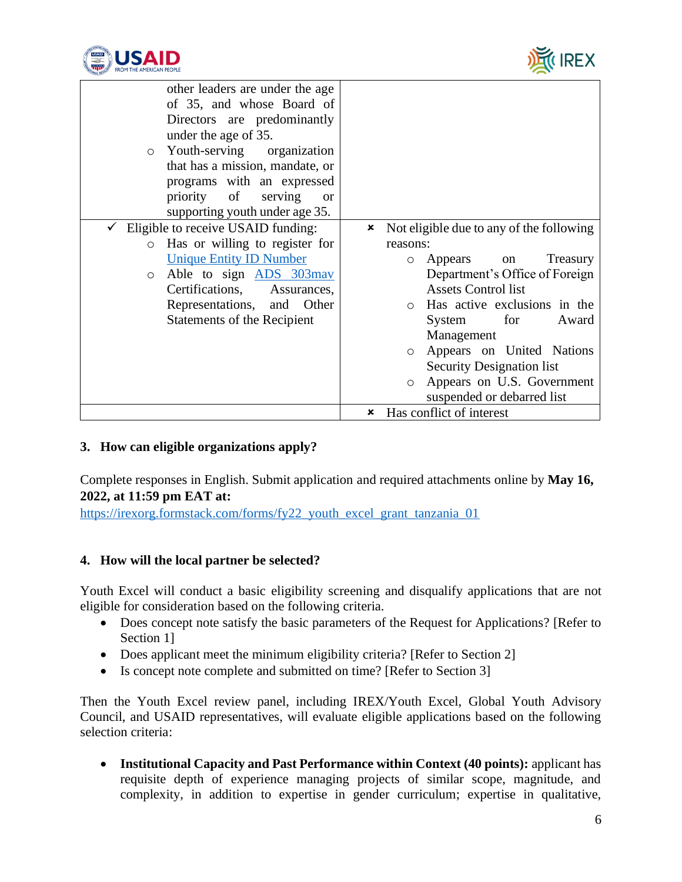



| other leaders are under the age<br>of 35, and whose Board of<br>Directors are predominantly<br>under the age of 35.<br>Youth-serving<br>organization<br>$\circ$<br>that has a mission, mandate, or<br>programs with an expressed<br>priority of<br>serving<br><b>or</b><br>supporting youth under age 35. |                                               |
|-----------------------------------------------------------------------------------------------------------------------------------------------------------------------------------------------------------------------------------------------------------------------------------------------------------|-----------------------------------------------|
| Eligible to receive USAID funding:                                                                                                                                                                                                                                                                        | Not eligible due to any of the following<br>× |
| Has or willing to register for<br>$\circ$                                                                                                                                                                                                                                                                 | reasons:                                      |
| <b>Unique Entity ID Number</b>                                                                                                                                                                                                                                                                            | Treasury<br>Appears<br>on<br>$\circ$          |
| Able to sign ADS 303may<br>$\circ$                                                                                                                                                                                                                                                                        | Department's Office of Foreign                |
| Certifications, Assurances,                                                                                                                                                                                                                                                                               | <b>Assets Control list</b>                    |
| Representations, and Other                                                                                                                                                                                                                                                                                | Has active exclusions in the<br>$\circ$       |
| <b>Statements of the Recipient</b>                                                                                                                                                                                                                                                                        | for<br>System<br>Award                        |
|                                                                                                                                                                                                                                                                                                           | Management                                    |
|                                                                                                                                                                                                                                                                                                           | o Appears on United Nations                   |
|                                                                                                                                                                                                                                                                                                           | Security Designation list                     |
|                                                                                                                                                                                                                                                                                                           | Appears on U.S. Government<br>$\circ$         |
|                                                                                                                                                                                                                                                                                                           | suspended or debarred list                    |
|                                                                                                                                                                                                                                                                                                           | Has conflict of interest<br>×                 |

# **3. How can eligible organizations apply?**

Complete responses in English. Submit application and required attachments online by **May 16, 2022, at 11:59 pm EAT at:**

[https://irexorg.formstack.com/forms/fy22\\_youth\\_excel\\_grant\\_tanzania\\_01](https://irexorg.formstack.com/forms/fy22_youth_excel_grant_tanzania_01)

# **4. How will the local partner be selected?**

Youth Excel will conduct a basic eligibility screening and disqualify applications that are not eligible for consideration based on the following criteria.

- Does concept note satisfy the basic parameters of the Request for Applications? [Refer to Section 1]
- Does applicant meet the minimum eligibility criteria? [Refer to Section 2]
- Is concept note complete and submitted on time? [Refer to Section 3]

Then the Youth Excel review panel, including IREX/Youth Excel, Global Youth Advisory Council, and USAID representatives, will evaluate eligible applications based on the following selection criteria:

• **Institutional Capacity and Past Performance within Context (40 points):** applicant has requisite depth of experience managing projects of similar scope, magnitude, and complexity, in addition to expertise in gender curriculum; expertise in qualitative,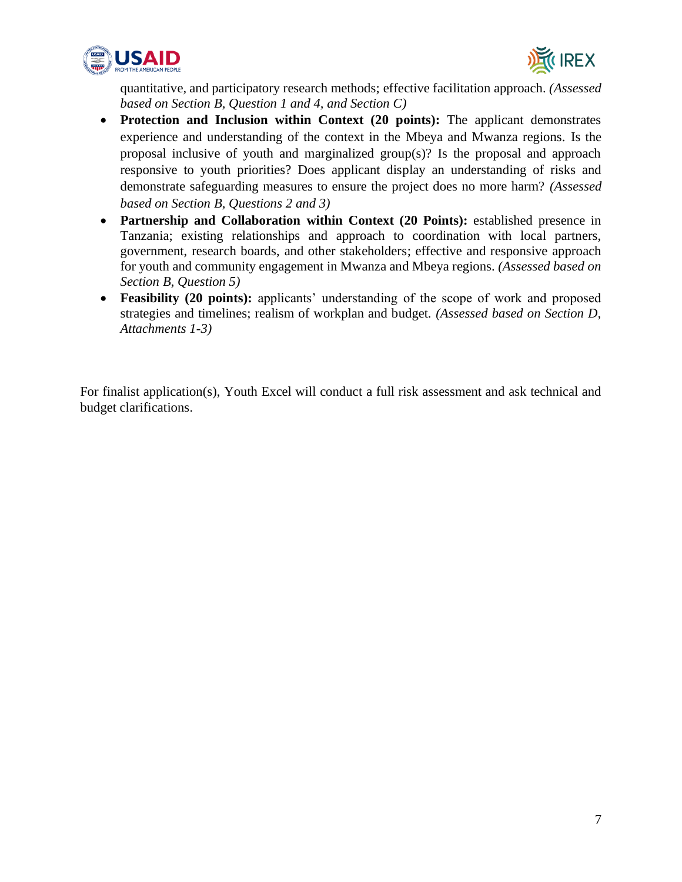



quantitative, and participatory research methods; effective facilitation approach. *(Assessed based on Section B, Question 1 and 4, and Section C)*

- **Protection and Inclusion within Context (20 points):** The applicant demonstrates experience and understanding of the context in the Mbeya and Mwanza regions. Is the proposal inclusive of youth and marginalized group(s)? Is the proposal and approach responsive to youth priorities? Does applicant display an understanding of risks and demonstrate safeguarding measures to ensure the project does no more harm? *(Assessed based on Section B, Questions 2 and 3)*
- **Partnership and Collaboration within Context (20 Points):** established presence in Tanzania; existing relationships and approach to coordination with local partners, government, research boards, and other stakeholders; effective and responsive approach for youth and community engagement in Mwanza and Mbeya regions. *(Assessed based on Section B, Question 5)*
- **Feasibility (20 points):** applicants' understanding of the scope of work and proposed strategies and timelines; realism of workplan and budget. *(Assessed based on Section D, Attachments 1-3)*

For finalist application(s), Youth Excel will conduct a full risk assessment and ask technical and budget clarifications.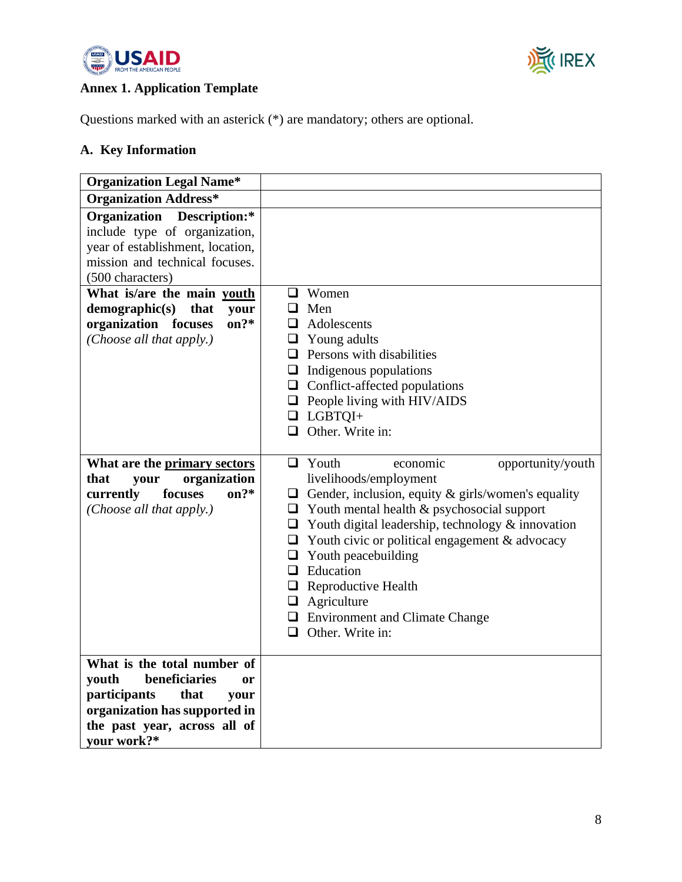



# **Annex 1. Application Template**

Questions marked with an asterick (\*) are mandatory; others are optional.

# **A. Key Information**

| <b>Organization Legal Name*</b>                                                                                                                                             |                                                                                                                                                                                                                                                                                                                                                                                                                                                                                            |
|-----------------------------------------------------------------------------------------------------------------------------------------------------------------------------|--------------------------------------------------------------------------------------------------------------------------------------------------------------------------------------------------------------------------------------------------------------------------------------------------------------------------------------------------------------------------------------------------------------------------------------------------------------------------------------------|
| <b>Organization Address*</b>                                                                                                                                                |                                                                                                                                                                                                                                                                                                                                                                                                                                                                                            |
| Organization<br>Description:*<br>include type of organization,<br>year of establishment, location,<br>mission and technical focuses.<br>(500 characters)                    |                                                                                                                                                                                                                                                                                                                                                                                                                                                                                            |
| What is/are the main youth<br>that<br>demographic(s)<br>your<br>on?*<br>organization focuses<br>(Choose all that apply.)                                                    | $\Box$ Women<br>Men<br>❏<br>Adolescents<br>□<br>Young adults<br>⊔<br>Persons with disabilities<br>ப<br>Indigenous populations<br>⊔<br>$\Box$ Conflict-affected populations<br>$\Box$ People living with HIV/AIDS<br>$\Box$ LGBTQI+<br>Other. Write in:<br>$\Box$                                                                                                                                                                                                                           |
| What are the primary sectors<br>organization<br>that<br>your<br>currently<br>on?<br>focuses<br>(Choose all that apply.)                                                     | Youth<br>◻<br>opportunity/youth<br>economic<br>livelihoods/employment<br>$\Box$ Gender, inclusion, equity & girls/women's equality<br>$\Box$ Youth mental health & psychosocial support<br>Youth digital leadership, technology & innovation<br>$\Box$<br>Youth civic or political engagement & advocacy<br>$\Box$<br>Youth peacebuilding<br>u<br>$\Box$ Education<br>$\Box$ Reproductive Health<br>$\Box$ Agriculture<br>$\Box$ Environment and Climate Change<br>$\Box$ Other. Write in: |
| What is the total number of<br>beneficiaries<br>youth<br>or<br>that<br>participants<br>your<br>organization has supported in<br>the past year, across all of<br>vour work?* |                                                                                                                                                                                                                                                                                                                                                                                                                                                                                            |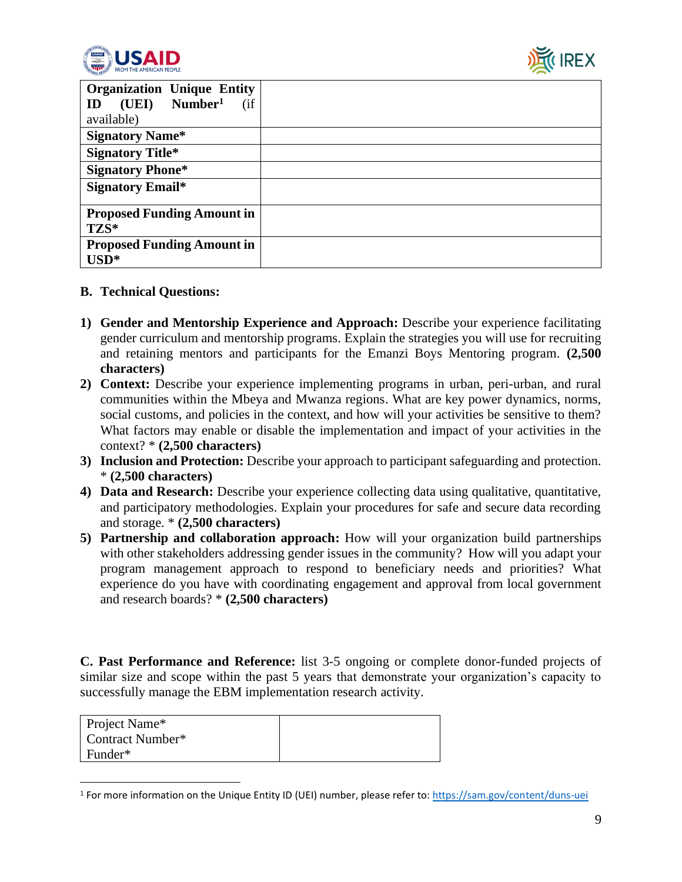



| <b>Organization Unique Entity</b>          |  |
|--------------------------------------------|--|
| $(UEI)$ Number <sup>1</sup><br>(i f)<br>ID |  |
| available)                                 |  |
| <b>Signatory Name*</b>                     |  |
| <b>Signatory Title*</b>                    |  |
| <b>Signatory Phone*</b>                    |  |
| <b>Signatory Email*</b>                    |  |
| <b>Proposed Funding Amount in</b>          |  |
| TZS*                                       |  |
| <b>Proposed Funding Amount in</b>          |  |
| $\mathbf{USD}^*$                           |  |

## **B. Technical Questions:**

- **1) Gender and Mentorship Experience and Approach:** Describe your experience facilitating gender curriculum and mentorship programs. Explain the strategies you will use for recruiting and retaining mentors and participants for the Emanzi Boys Mentoring program. **(2,500 characters)**
- **2) Context:** Describe your experience implementing programs in urban, peri-urban, and rural communities within the Mbeya and Mwanza regions. What are key power dynamics, norms, social customs, and policies in the context, and how will your activities be sensitive to them? What factors may enable or disable the implementation and impact of your activities in the context? \* **(2,500 characters)**
- **3) Inclusion and Protection:** Describe your approach to participant safeguarding and protection. \* **(2,500 characters)**
- **4) Data and Research:** Describe your experience collecting data using qualitative, quantitative, and participatory methodologies. Explain your procedures for safe and secure data recording and storage. \* **(2,500 characters)**
- **5) Partnership and collaboration approach:** How will your organization build partnerships with other stakeholders addressing gender issues in the community? How will you adapt your program management approach to respond to beneficiary needs and priorities? What experience do you have with coordinating engagement and approval from local government and research boards? \* **(2,500 characters)**

**C. Past Performance and Reference:** list 3-5 ongoing or complete donor-funded projects of similar size and scope within the past 5 years that demonstrate your organization's capacity to successfully manage the EBM implementation research activity.

| Project Name*    |  |
|------------------|--|
| Contract Number* |  |
| Funder*          |  |

<sup>1</sup> For more information on the Unique Entity ID (UEI) number, please refer to[: https://sam.gov/content/duns-uei](https://sam.gov/content/duns-uei)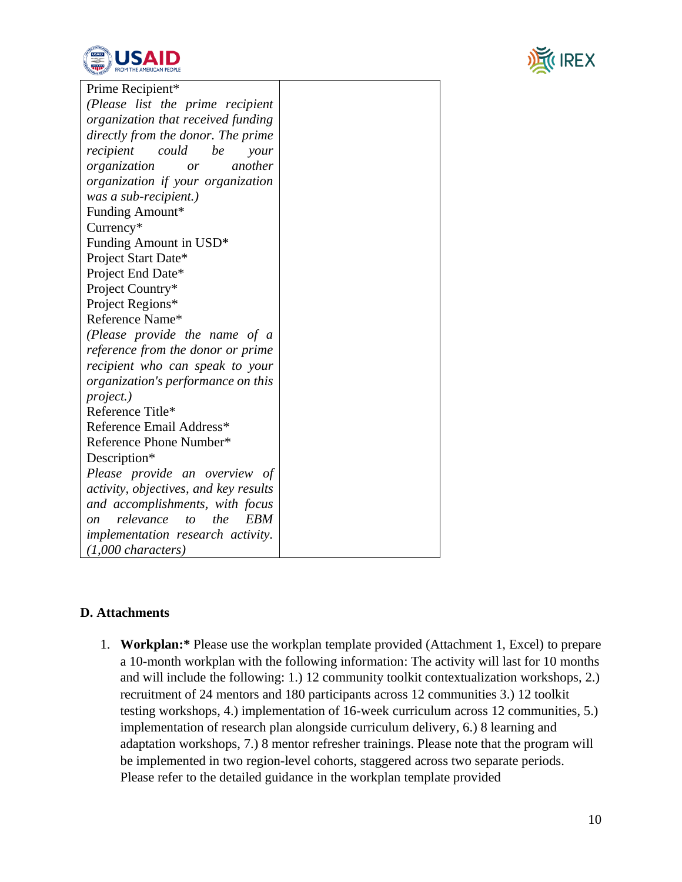



| Prime Recipient*                         |  |
|------------------------------------------|--|
| (Please list the prime recipient         |  |
| organization that received funding       |  |
| directly from the donor. The prime       |  |
| recipient<br>could<br>be<br>your         |  |
| another<br>organization<br>or            |  |
| organization if your organization        |  |
| was a sub-recipient.)                    |  |
| Funding Amount*                          |  |
| $Curreacy*$                              |  |
| Funding Amount in USD*                   |  |
| Project Start Date*                      |  |
| Project End Date*                        |  |
| Project Country*                         |  |
| Project Regions*                         |  |
| Reference Name*                          |  |
| (Please provide the name of a            |  |
| reference from the donor or prime        |  |
| recipient who can speak to your          |  |
| organization's performance on this       |  |
| project.)                                |  |
| Reference Title*                         |  |
| Reference Email Address*                 |  |
| Reference Phone Number*                  |  |
| Description*                             |  |
| Please provide an overview of            |  |
| activity, objectives, and key results    |  |
| and accomplishments, with focus          |  |
| relevance to<br>the<br><b>EBM</b><br>on  |  |
| <i>implementation</i> research activity. |  |
| $(1,000$ characters)                     |  |

# **D. Attachments**

1. **Workplan:\*** Please use the workplan template provided (Attachment 1, Excel) to prepare a 10-month workplan with the following information: The activity will last for 10 months and will include the following: 1.) 12 community toolkit contextualization workshops, 2.) recruitment of 24 mentors and 180 participants across 12 communities 3.) 12 toolkit testing workshops, 4.) implementation of 16-week curriculum across 12 communities, 5.) implementation of research plan alongside curriculum delivery, 6.) 8 learning and adaptation workshops, 7.) 8 mentor refresher trainings. Please note that the program will be implemented in two region-level cohorts, staggered across two separate periods. Please refer to the detailed guidance in the workplan template provided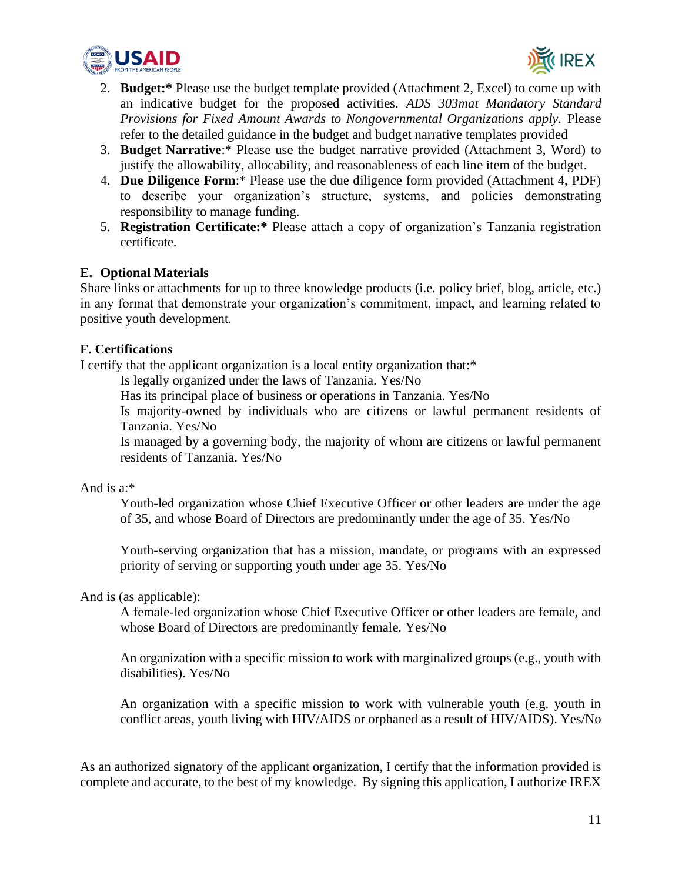



- 2. **Budget:\*** Please use the budget template provided (Attachment 2, Excel) to come up with an indicative budget for the proposed activities. *ADS 303mat Mandatory Standard Provisions for Fixed Amount Awards to Nongovernmental Organizations apply.* Please refer to the detailed guidance in the budget and budget narrative templates provided
- 3. **Budget Narrative**:\* Please use the budget narrative provided (Attachment 3, Word) to justify the allowability, allocability, and reasonableness of each line item of the budget.
- 4. **Due Diligence Form**:\* Please use the due diligence form provided (Attachment 4, PDF) to describe your organization's structure, systems, and policies demonstrating responsibility to manage funding.
- 5. **Registration Certificate:\*** Please attach a copy of organization's Tanzania registration certificate.

# **E. Optional Materials**

Share links or attachments for up to three knowledge products (i.e. policy brief, blog, article, etc.) in any format that demonstrate your organization's commitment, impact, and learning related to positive youth development.

# **F. Certifications**

I certify that the applicant organization is a local entity organization that:\*

Is legally organized under the laws of Tanzania. Yes/No

Has its principal place of business or operations in Tanzania. Yes/No

Is majority-owned by individuals who are citizens or lawful permanent residents of Tanzania. Yes/No

Is managed by a governing body, the majority of whom are citizens or lawful permanent residents of Tanzania. Yes/No

## And is a:\*

Youth-led organization whose Chief Executive Officer or other leaders are under the age of 35, and whose Board of Directors are predominantly under the age of 35. Yes/No

Youth-serving organization that has a mission, mandate, or programs with an expressed priority of serving or supporting youth under age 35. Yes/No

## And is (as applicable):

A female-led organization whose Chief Executive Officer or other leaders are female, and whose Board of Directors are predominantly female. Yes/No

An organization with a specific mission to work with marginalized groups (e.g., youth with disabilities). Yes/No

An organization with a specific mission to work with vulnerable youth (e.g. youth in conflict areas, youth living with HIV/AIDS or orphaned as a result of HIV/AIDS). Yes/No

As an authorized signatory of the applicant organization, I certify that the information provided is complete and accurate, to the best of my knowledge. By signing this application, I authorize IREX